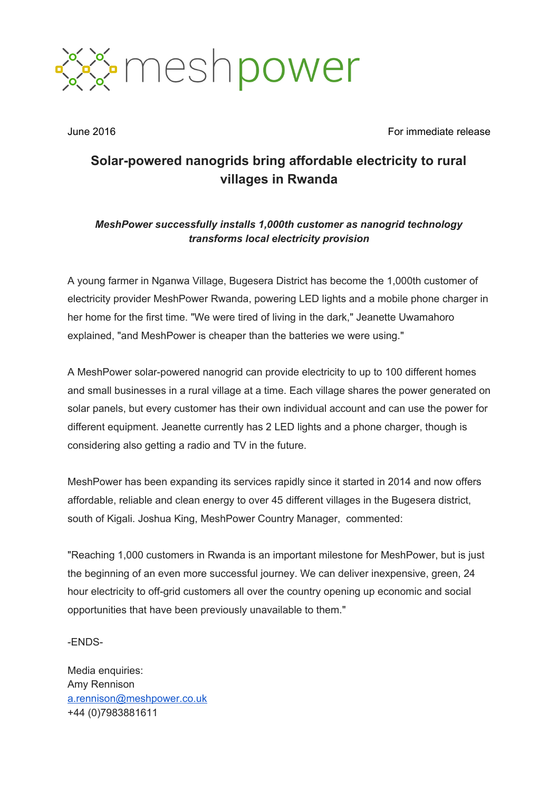

June 2016 **For immediate release** For immediate release

## **Solar-powered nanogrids** bring affordable electricity to rural **villages in Rwanda**

## *MeshPower successfully installs 1,000th customer as nanogrid technology transforms local electricity provision*

A young farmer in Nganwa Village, Bugesera District has become the 1,000th customer of electricity provider MeshPower Rwanda, powering LED lights and a mobile phone charger in her home for the first time. "We were tired of living in the dark," Jeanette Uwamahoro explained, "and MeshPower is cheaper than the batteries we were using."

A MeshPower solar-powered nanogrid can provide electricity to up to 100 different homes and small businesses in a rural village at a time. Each village shares the power generated on solar panels, but every customer has their own individual account and can use the power for different equipment. Jeanette currently has 2 LED lights and a phone charger, though is considering also getting a radio and TV in the future.

MeshPower has been expanding its services rapidly since it started in 2014 and now offers affordable, reliable and clean energy to over 45 different villages in the Bugesera district, south of Kigali. Joshua King, MeshPower Country Manager, commented:

"Reaching 1,000 customers in Rwanda is an important milestone for MeshPower, but is just the beginning of an even more successful journey. We can deliver inexpensive, green, 24 hour electricity to off-grid customers all over the country opening up economic and social opportunities that have been previously unavailable to them."

ENDS-

Media enquiries: Amy Rennison [a.rennison@meshpower.co.uk](mailto:a.rennison@meshpower.co.uk) +44 (0)7983881611